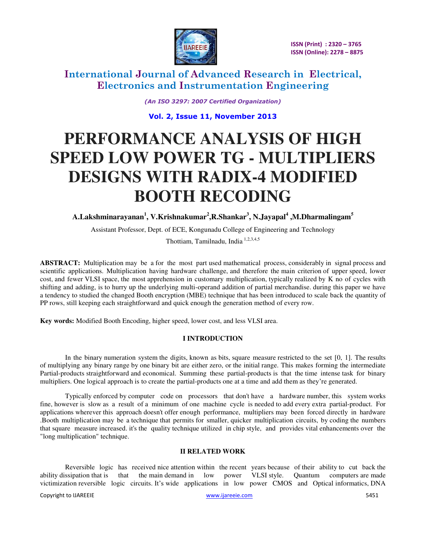

*(An ISO 3297: 2007 Certified Organization)* 

**Vol. 2, Issue 11, November 2013** 

# **PERFORMANCE ANALYSIS OF HIGH SPEED LOW POWER TG - MULTIPLIERS DESIGNS WITH RADIX-4 MODIFIED BOOTH RECODING**

**A.Lakshminarayanan<sup>1</sup> , V.Krishnakumar<sup>2</sup> ,R.Shankar<sup>3</sup> , N.Jayapal<sup>4</sup> ,M.Dharmalingam<sup>5</sup>**

Assistant Professor, Dept. of ECE, Kongunadu College of Engineering and Technology

Thottiam, Tamilnadu, India 1,2,3,4,5

**ABSTRACT:** Multiplication may be a for the most part used mathematical process, considerably in signal process and scientific applications. Multiplication having hardware challenge, and therefore the main criterion of upper speed, lower cost, and fewer VLSI space, the most apprehension in customary multiplication, typically realized by K no of cycles with shifting and adding, is to hurry up the underlying multi-operand addition of partial merchandise. during this paper we have a tendency to studied the changed Booth encryption (MBE) technique that has been introduced to scale back the quantity of PP rows, still keeping each straightforward and quick enough the generation method of every row.

**Key words:** Modified Booth Encoding, higher speed, lower cost, and less VLSI area.

#### **I INTRODUCTION**

In the binary numeration system the digits, known as bits, square measure restricted to the set [0, 1]. The results of multiplying any binary range by one binary bit are either zero, or the initial range. This makes forming the intermediate Partial-products straightforward and economical. Summing these partial-products is that the time intense task for binary multipliers. One logical approach is to create the partial-products one at a time and add them as they're generated.

Typically enforced by computer code on processors that don't have a hardware number, this system works fine, however is slow as a result of a minimum of one machine cycle is needed to add every extra partial-product. For applications wherever this approach doesn't offer enough performance, multipliers may been forced directly in hardware .Booth multiplication may be a technique that permits for smaller, quicker multiplication circuits, by coding the numbers that square measure increased. it's the quality technique utilized in chip style, and provides vital enhancements over the "long multiplication" technique.

#### **II RELATED WORK**

Reversible logic has received nice attention within the recent years because of their ability to cut back the ability dissipation that is that the main demand in low power VLSI style. Quantum computers are made victimization reversible logic circuits. It's wide applications in low power CMOS and Optical informatics, DNA

Copyright to IJAREEIE [www.ijareeie.com](http://www.ijareeie.com/) 5451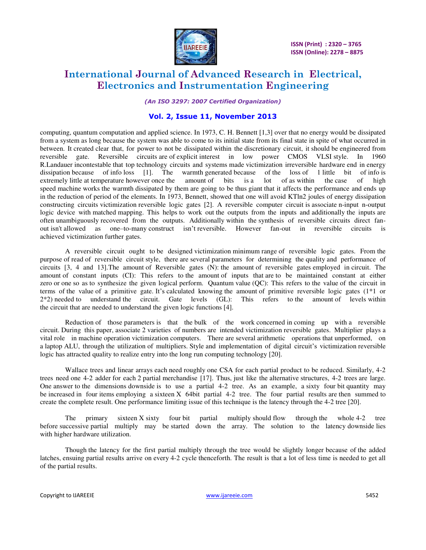

*(An ISO 3297: 2007 Certified Organization)* 

### **Vol. 2, Issue 11, November 2013**

computing, quantum computation and applied science. In 1973, C. H. Bennett [1,3] over that no energy would be dissipated from a system as long because the system was able to come to its initial state from its final state in spite of what occurred in between. It created clear that, for power to not be dissipated within the discretionary circuit, it should be engineered from reversible gate. Reversible circuits are of explicit interest in low power CMOS VLSI style. In 1960 R.Landauer incontestable that top technology circuits and systems made victimization irreversible hardware end in energy dissipation because of info loss [1]. The warmth generated because of the loss of 1 little bit of inf The warmth generated because of the loss of  $1$  little bit of info is extremely little at temperature however once the amount of bits is a lot of as within the case of high speed machine works the warmth dissipated by them are going to be thus giant that it affects the performance and ends up in the reduction of period of the elements. In 1973, Bennett, showed that one will avoid KTln2 joules of energy dissipation constructing circuits victimization reversible logic gates [2]. A reversible computer circuit is associate n-input n-output logic device with matched mapping. This helps to work out the outputs from the inputs and additionally the inputs are often unambiguously recovered from the outputs. Additionally within the synthesis of reversible circuits direct fanout isn't allowed as one–to-many construct isn't reversible. However fan-out in reversible circuits is achieved victimization further gates.

A reversible circuit ought to be designed victimization minimum range of reversible logic gates. From the purpose of read of reversible circuit style, there are several parameters for determining the quality and performance of circuits [3, 4 and 13].The amount of Reversible gates (N): the amount of reversible gates employed in circuit. The amount of constant inputs (CI): This refers to the amount of inputs that are to be maintained constant at either zero or one so as to synthesize the given logical perform. Quantum value (QC): This refers to the value of the circuit in terms of the value of a primitive gate. It's calculated knowing the amount of primitive reversible logic gates (1\*1 or 2\*2) needed to understand the circuit. Gate levels (GL): This refers to the amount of levels within the circuit that are needed to understand the given logic functions [4].

Reduction of those parameters is that the bulk of the work concerned in coming up with a reversible circuit. During this paper, associate 2 varieties of numbers are intended victimization reversible gates. Multiplier plays a vital role in machine operation victimization computers. There are several arithmetic operations that unperformed, on a laptop ALU, through the utilization of multipliers. Style and implementation of digital circuit's victimization reversible logic has attracted quality to realize entry into the long run computing technology [20].

Wallace trees and linear arrays each need roughly one CSA for each partial product to be reduced. Similarly, 4-2 trees need one 4-2 adder for each 2 partial merchandise [17]. Thus, just like the alternative structures, 4-2 trees are large. One answer to the dimensions downside is to use a partial 4-2 tree. As an example, a sixty four bit quantity may be increased in four items employing a sixteen X 64bit partial 4-2 tree. The four partial results are then summed to create the complete result. One performance limiting issue of this technique is the latency through the 4-2 tree [20].

The primary sixteen X sixty four bit partial multiply should flow through the whole 4-2 tree before successive partial multiply may be started down the array. The solution to the latency downside lies with higher hardware utilization.

Though the latency for the first partial multiply through the tree would be slightly longer because of the added latches, ensuing partial results arrive on every 4-2 cycle thenceforth. The result is that a lot of less time is needed to get all of the partial results.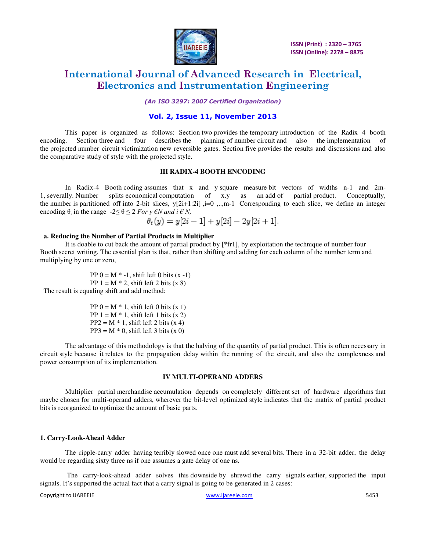

*(An ISO 3297: 2007 Certified Organization)* 

### **Vol. 2, Issue 11, November 2013**

This paper is organized as follows: Section two provides the temporary introduction of the Radix 4 booth encoding. Section three and four describes the planning of number circuit and also the implementation of the projected number circuit victimization new reversible gates. Section five provides the results and discussions and also the comparative study of style with the projected style.

#### **III RADIX-4 BOOTH ENCODING**

In Radix-4 Booth coding assumes that x and y square measure bit vectors of widths n-1 and 2m-1, severally. Number splits economical computation of x.y as an add of partial product. Conceptually, the number is partitioned off into 2-bit slices,  $y[2i+1:2i]$ ,  $i=0$ , ...,m-1 Corresponding to each slice, we define an integer encoding  $\theta_i$  in the range  $-2 \leq \theta \leq 2$  *For y*  $\epsilon N$  *and i*  $\epsilon N$ *,* 

$$
\theta_i(y) = y[2i - 1] + y[2i] - 2y[2i + 1].
$$

#### **a. Reducing the Number of Partial Products in Multiplier**

 It is doable to cut back the amount of partial product by [\*fr1], by exploitation the technique of number four Booth secret writing. The essential plan is that, rather than shifting and adding for each column of the number term and multiplying by one or zero,

PP  $0 = M^* -1$ , shift left 0 bits  $(x -1)$ PP  $1 = M * 2$ , shift left 2 bits  $(x 8)$ The result is equaling shift and add method:

> PP  $0 = M * 1$ , shift left 0 bits  $(x 1)$ PP  $1 = M * 1$ , shift left 1 bits  $(x 2)$  $PP2 = M * 1$ , shift left 2 bits  $(x 4)$  $PP3 = M * 0$ , shift left 3 bits (x 0)

The advantage of this methodology is that the halving of the quantity of partial product. This is often necessary in circuit style because it relates to the propagation delay within the running of the circuit, and also the complexness and power consumption of its implementation.

#### **IV MULTI-OPERAND ADDERS**

Multiplier partial merchandise accumulation depends on completely different set of hardware algorithms that maybe chosen for multi-operand adders, wherever the bit-level optimized style indicates that the matrix of partial product bits is reorganized to optimize the amount of basic parts.

#### **1. Carry-Look-Ahead Adder**

The ripple-carry adder having terribly slowed once one must add several bits. There in a 32-bit adder, the delay would be regarding sixty three ns if one assumes a gate delay of one ns.

 The carry-look-ahead adder solves this downside by shrewd the carry signals earlier, supported the input signals. It's supported the actual fact that a carry signal is going to be generated in 2 cases:

Copyright to IJAREEIE [www.ijareeie.com](http://www.ijareeie.com/) 5453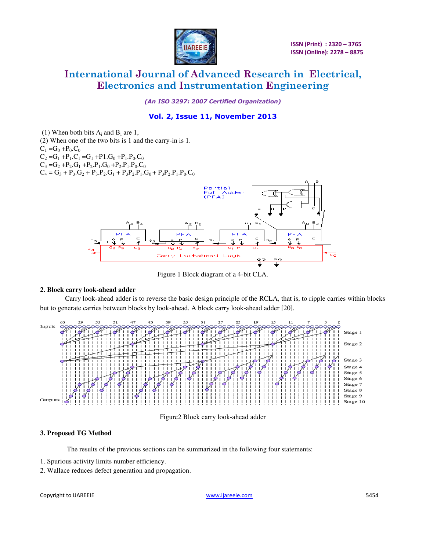

*(An ISO 3297: 2007 Certified Organization)* 

### **Vol. 2, Issue 11, November 2013**

(1) When both bits  $A_i$  and  $B_i$  are 1,

(2) When one of the two bits is 1 and the carry-in is 1.  $C_1 = G_0 + P_0.C_0$  $C_2 = G_1 + P_1.C_1 = G_1 + P_1.G_0 + P_1.P_0.C_0$  $C_3 = G_2 + P_2.G_1 + P_2.P_1.G_0 + P_2.P_1.P_0.C_0$  $C_4 = G_3 + P_3 \cdot G_2 + P_3 \cdot P_2 \cdot G_1 + P_3 P_2 \cdot P_1 \cdot G_0 + P_3 P_2 \cdot P_1 \cdot P_0 \cdot C_0$ 



Figure 1 Block diagram of a 4-bit CLA.

#### **2. Block carry look-ahead adder**

Carry look-ahead adder is to reverse the basic design principle of the RCLA, that is, to ripple carries within blocks but to generate carries between blocks by look-ahead. A block carry look-ahead adder [20].



Figure2 Block carry look-ahead adder

#### **3. Proposed TG Method**

The results of the previous sections can be summarized in the following four statements:

- 1. Spurious activity limits number efficiency.
- 2. Wallace reduces defect generation and propagation.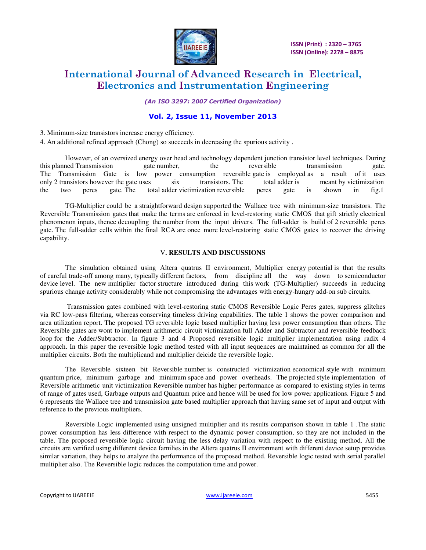

 **ISSN (Print) : 2320 – 3765 ISSN (Online): 2278 – 8875**

# **International Journal of Advanced Research in Electrical, Electronics and Instrumentation Engineering**

*(An ISO 3297: 2007 Certified Organization)* 

### **Vol. 2, Issue 11, November 2013**

3. Minimum-size transistors increase energy efficiency.

4. An additional refined approach (Chong) so succeeds in decreasing the spurious activity .

However, of an oversized energy over head and technology dependent junction transistor level techniques. During this planned Transmission gate number, the reversible transmission gate. The Transmission Gate is low power consumption reversible gate is employed as a result of it uses only 2 transistors however the gate uses six transistors. The total adder is meant by victimization the two peres gate. The total adder victimization reversible peres gate is shown in fig.1

 TG-Multiplier could be a straightforward design supported the Wallace tree with minimum-size transistors. The Reversible Transmission gates that make the terms are enforced in level-restoring static CMOS that gift strictly electrical phenomenon inputs, thence decoupling the number from the input drivers. The full-adder is build of 2 reversible peres gate. The full-adder cells within the final RCA are once more level-restoring static CMOS gates to recover the driving capability.

#### V**. RESULTS AND DISCUSSIONS**

The simulation obtained using Altera quatrus II environment, Multiplier energy potential is that the results of careful trade-off among many, typically different factors, from discipline all the way down to semiconductor device level. The new multiplier factor structure introduced during this work (TG-Multiplier) succeeds in reducing spurious change activity considerably while not compromising the advantages with energy-hungry add-on sub circuits.

 Transmission gates combined with level-restoring static CMOS Reversible Logic Peres gates, suppress glitches via RC low-pass filtering, whereas conserving timeless driving capabilities. The table 1 shows the power comparison and area utilization report. The proposed TG reversible logic based multiplier having less power consumption than others. The Reversible gates are wont to implement arithmetic circuit victimization full Adder and Subtractor and reversible feedback loop for the Adder/Subtractor. In figure 3 and 4 Proposed reversible logic multiplier implementation using radix 4 approach. In this paper the reversible logic method tested with all input sequences are maintained as common for all the multiplier circuits. Both the multiplicand and multiplier deicide the reversible logic.

The Reversible sixteen bit Reversible number is constructed victimization economical style with minimum quantum price, minimum garbage and minimum space and power overheads. The projected style implementation of Reversible arithmetic unit victimization Reversible number has higher performance as compared to existing styles in terms of range of gates used, Garbage outputs and Quantum price and hence will be used for low power applications. Figure 5 and 6 represents the Wallace tree and transmission gate based multiplier approach that having same set of input and output with reference to the previous multipliers.

Reversible Logic implemented using unsigned multiplier and its results comparison shown in table 1 .The static power consumption has less difference with respect to the dynamic power consumption, so they are not included in the table. The proposed reversible logic circuit having the less delay variation with respect to the existing method. All the circuits are verified using different device families in the Altera quatrus II environment with different device setup provides similar variation, they helps to analyze the performance of the proposed method. Reversible logic tested with serial parallel multiplier also. The Reversible logic reduces the computation time and power.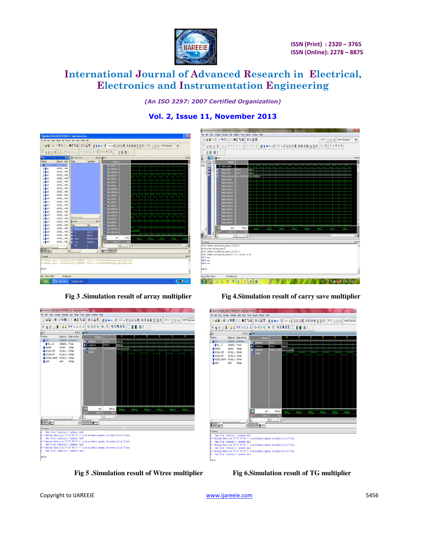

*(An ISO 3297: 2007 Certified Organization)* 

### **Vol. 2, Issue 11, November 2013**



**Fig 3 .Simulation result of array multiplier Fig 4.Simulation result of carry save multiplier**



**Fig 5 .Simulation result of Wtree multiplier Fig 6.Simulation result of TG multiplier**





Copyright to IJAREEIE [www.ijareeie.com](http://www.ijareeie.com/) 5456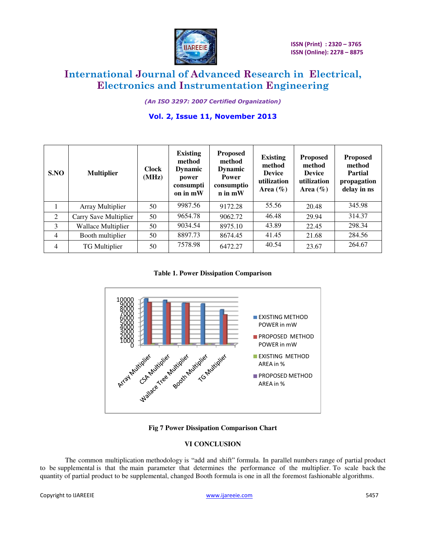

*(An ISO 3297: 2007 Certified Organization)* 

### **Vol. 2, Issue 11, November 2013**

| SNO            | <b>Multiplier</b>         | <b>Clock</b><br>(MHz) | <b>Existing</b><br>method<br><b>Dynamic</b><br>power<br>consumpti<br>on in mW | <b>Proposed</b><br>method<br><b>Dynamic</b><br><b>Power</b><br>consumptio<br>$n$ in $mW$ | <b>Existing</b><br>method<br><b>Device</b><br>utilization<br>Area $(\% )$ | <b>Proposed</b><br>method<br><b>Device</b><br>utilization<br>Area $(\% )$ | <b>Proposed</b><br>method<br><b>Partial</b><br>propagation<br>delay in ns |
|----------------|---------------------------|-----------------------|-------------------------------------------------------------------------------|------------------------------------------------------------------------------------------|---------------------------------------------------------------------------|---------------------------------------------------------------------------|---------------------------------------------------------------------------|
|                | Array Multiplier          | 50                    | 9987.56                                                                       | 9172.28                                                                                  | 55.56                                                                     | 20.48                                                                     | 345.98                                                                    |
| 2              | Carry Save Multiplier     | 50                    | 9654.78                                                                       | 9062.72                                                                                  | 46.48                                                                     | 29.94                                                                     | 314.37                                                                    |
| 3              | <b>Wallace Multiplier</b> | 50                    | 9034.54                                                                       | 8975.10                                                                                  | 43.89                                                                     | 22.45                                                                     | 298.34                                                                    |
| $\overline{4}$ | Booth multiplier          | 50                    | 8897.73                                                                       | 8674.45                                                                                  | 41.45                                                                     | 21.68                                                                     | 284.56                                                                    |
| 4              | TG Multiplier             | 50                    | 7578.98                                                                       | 6472.27                                                                                  | 40.54                                                                     | 23.67                                                                     | 264.67                                                                    |

**Table 1. Power Dissipation Comparison** 



**Fig 7 Power Dissipation Comparison Chart** 

### **VI CONCLUSION**

The common multiplication methodology is "add and shift" formula. In parallel numbers range of partial product to be supplemental is that the main parameter that determines the performance of the multiplier. To scale back the quantity of partial product to be supplemental, changed Booth formula is one in all the foremost fashionable algorithms.

Copyright to IJAREEIE and the community of the control of the [www.ijareeie.com](http://www.ijareeie.com/) 5457